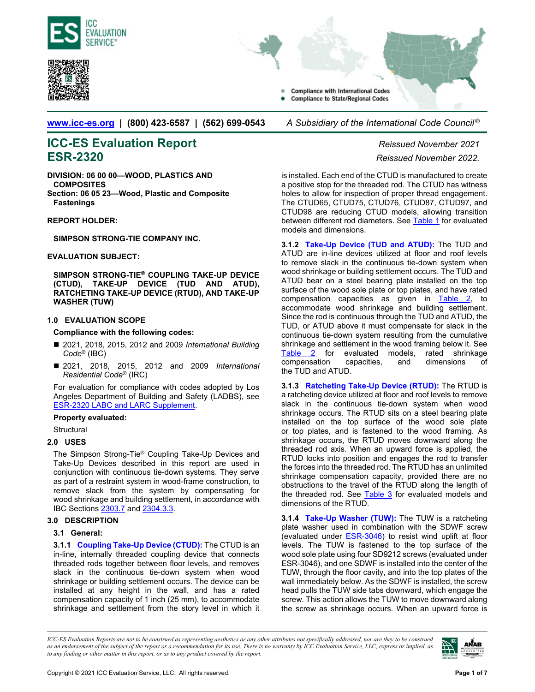<span id="page-0-5"></span><span id="page-0-2"></span>



**Compliance with International Codes Compliance to State/Regional Codes** 

**[www.icc-es.org](http://www.icc-es.org/) | (800) 423-6587 | (562) 699-0543** *A Subsidiary of the International Code Council ®* 

# **ICC-ES Evaluation Report** *Reissued November 2021* **ESR-2320** *Reissued November 2022.*

**DIVISION: 06 00 00—WOOD, PLASTICS AND COMPOSITES** 

**Section: 06 05 23—Wood, Plastic and Composite Fastenings** 

**REPORT HOLDER:** 

**SIMPSON STRONG-TIE COMPANY INC.** 

# **EVALUATION SUBJECT:**

**SIMPSON STRONG-TIE® COUPLING TAKE-UP DEVICE (CTUD), TAKE-UP DEVICE (TUD AND ATUD), RATCHETING TAKE-UP DEVICE (RTUD), AND TAKE-UP WASHER (TUW)**

# <span id="page-0-0"></span>**1.0 EVALUATION SCOPE**

# **Compliance with the following codes:**

- 2021, 2018, 2015, 2012 and 2009 *International Building Code*® (IBC)
- 2021, 2018, 2015, 2012 and 2009 *International Residential Code*® (IRC)

For evaluation for compliance with codes adopted by Los Angeles Department of Building and Safety (LADBS), see [ESR-2320 LABC and LARC Supplement.](#page-5-0) 

# **Property evaluated:**

**Structural** 

# **2.0 USES**

The Simpson Strong-Tie® Coupling Take-Up Devices and Take-Up Devices described in this report are used in conjunction with continuous tie-down systems. They serve as part of a restraint system in wood-frame construction, to remove slack from the system by compensating for wood shrinkage and building settlement, in accordance with IBC Section[s 2303.7 a](https://codes.iccsafe.org/content/IBC2021P1/chapter-23-wood)nd [2304.3.3.](https://codes.iccsafe.org/content/IBC2021P1/chapter-23-wood) 

# **3.0 DESCRIPTION**

# **3.1 General:**

<span id="page-0-1"></span>**3.1.1 [Coupling Take-Up Device \(CTUD\):](#page-2-0)** The CTUD is an in-line, internally threaded coupling device that connects threaded rods together between floor levels, and removes slack in the continuous tie-down system when wood shrinkage or building settlement occurs. The device can be installed at any height in the wall, and has a rated compensation capacity of 1 inch (25 mm), to accommodate shrinkage and settlement from the story level in which it

is installed. Each end of the CTUD is manufactured to create a positive stop for the threaded rod. The CTUD has witness holes to allow for inspection of proper thread engagement. The CTUD65, CTUD75, CTUD76, CTUD87, CTUD97, and CTUD98 are reducing CTUD models, allowing transition between different rod diameters. See [Table 1](#page-2-0) for evaluated models and dimensions.

<span id="page-0-3"></span>**3.1.2 [Take-Up Device \(TUD and ATUD\):](#page-3-0)** The TUD and ATUD are in-line devices utilized at floor and roof levels to remove slack in the continuous tie-down system when wood shrinkage or building settlement occurs. The TUD and ATUD bear on a steel bearing plate installed on the top surface of the wood sole plate or top plates, and have rated compensation capacities as given in [Table 2,](#page-3-0) to accommodate wood shrinkage and building settlement. Since the rod is continuous through the TUD and ATUD, the TUD, or ATUD above it must compensate for slack in the continuous tie-down system resulting from the cumulative shrinkage and settlement in the wood framing below it. See [Table 2](#page-3-0) for evaluated models, rated shrinkage compensation capacities, and dimensions the TUD and ATUD.

<span id="page-0-4"></span>**3.1.3 [Ratcheting Take-Up Device \(RTUD\):](#page-3-1)** The RTUD is a ratcheting device utilized at floor and roof levels to remove slack in the continuous tie-down system when wood shrinkage occurs. The RTUD sits on a steel bearing plate installed on the top surface of the wood sole plate or top plates, and is fastened to the wood framing. As shrinkage occurs, the RTUD moves downward along the threaded rod axis. When an upward force is applied, the RTUD locks into position and engages the rod to transfer the forces into the threaded rod. The RTUD has an unlimited shrinkage compensation capacity, provided there are no obstructions to the travel of the RTUD along the length of the threaded rod. See [Table 3](#page-3-1) for evaluated models and dimensions of the RTUD.

**3.1.4 [Take-Up Washer \(TUW\):](#page-4-0)** The TUW is a ratcheting plate washer used in combination with the SDWF screw (evaluated under **ESR-3046**) to resist wind uplift at floor levels. The TUW is fastened to the top surface of the wood sole plate using four SD9212 screws (evaluated under ESR-3046), and one SDWF is installed into the center of the TUW, through the floor cavity, and into the top plates of the wall immediately below. As the SDWF is installed, the screw head pulls the TUW side tabs downward, which engage the screw. This action allows the TUW to move downward along the screw as shrinkage occurs. When an upward force is

*ICC-ES Evaluation Reports are not to be construed as representing aesthetics or any other attributes not specifically addressed, nor are they to be construed as an endorsement of the subject of the report or a recommendation for its use. There is no warranty by ICC Evaluation Service, LLC, express or implied, as to any finding or other matter in this report, or as to any product covered by the report.*

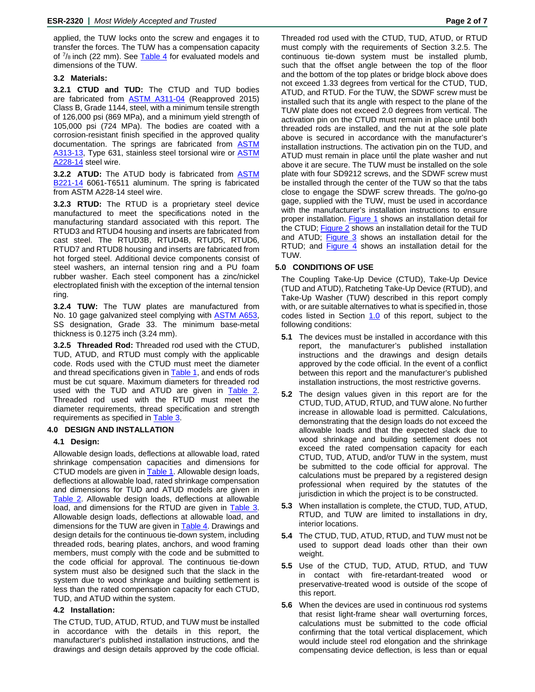applied, the TUW locks onto the screw and engages it to transfer the forces. The TUW has a compensation capacity of  $\frac{7}{8}$  inch (22 mm). See [Table 4](#page-4-0) for evaluated models and dimensions of the TUW.

# **3.2 Materials:**

**3.2.1 CTUD and TUD:** The CTUD and TUD bodies are fabricated from [ASTM A311-04](https://www.astm.org/DATABASE.CART/HISTORICAL/A311A311M-04.htm) (Reapproved 2015) Class B, Grade 1144, steel, with a minimum tensile strength of 126,000 psi (869 MPa), and a minimum yield strength of 105,000 psi (724 MPa). The bodies are coated with a corrosion-resistant finish specified in the approved quality documentation. The springs are fabricated from **[ASTM](https://www.astm.org/DATABASE.CART/HISTORICAL/A313A313M-13.htm)** [A313-13,](https://www.astm.org/DATABASE.CART/HISTORICAL/A313A313M-13.htm) Type 631, stainless steel torsional wire or **ASTM** [A228-14](https://www.astm.org/DATABASE.CART/HISTORICAL/A228A228M-14.htm) steel wire.

**3.2.2 ATUD:** The ATUD body is fabricated from [ASTM](https://www.astm.org/Standards/B221.htm) [B221-14](https://www.astm.org/DATABASE.CART/HISTORICAL/B221-14.htm) 6061-T6511 aluminum. The spring is fabricated from ASTM A228-14 steel wire.

**3.2.3 RTUD:** The RTUD is a proprietary steel device manufactured to meet the specifications noted in the manufacturing standard associated with this report. The RTUD3 and RTUD4 housing and inserts are fabricated from cast steel. The RTUD3B, RTUD4B, RTUD5, RTUD6, RTUD7 and RTUD8 housing and inserts are fabricated from hot forged steel. Additional device components consist of steel washers, an internal tension ring and a PU foam rubber washer. Each steel component has a zinc/nickel electroplated finish with the exception of the internal tension ring.

**3.2.4 TUW:** The TUW plates are manufactured from No. 10 gage galvanized steel complying with [ASTM A653,](https://www.astm.org/DATABASE.CART/HISTORICAL/A653A653M-17.htm)  SS designation, Grade 33. The minimum base-metal thickness is 0.1275 inch (3.24 mm).

**3.2.5 Threaded Rod:** Threaded rod used with the CTUD, TUD, ATUD, and RTUD must comply with the applicable code. Rods used with the CTUD must meet the diameter and thread specifications given in **Table 1**, and ends of rods must be cut square. Maximum diameters for threaded rod used with the TUD and ATUD are given in Table 2. Threaded rod used with the RTUD must meet the diameter requirements, thread specification and strength requirements as specified in [Table 3.](#page-3-1)

# **4.0 DESIGN AND INSTALLATION**

# **4.1 Design:**

Allowable design loads, deflections at allowable load, rated shrinkage compensation capacities and dimensions for CTUD models are given i[n Table 1.](#page-2-0) Allowable design loads, deflections at allowable load, rated shrinkage compensation and dimensions for TUD and ATUD models are given in [Table 2.](#page-3-0) Allowable design loads, deflections at allowable load, and dimensions for the RTUD are given in Table 3. Allowable design loads, deflections at allowable load, and dimensions for the TUW are given in [Table 4.](#page-4-0) Drawings and design details for the continuous tie-down system, including threaded rods, bearing plates, anchors, and wood framing members, must comply with the code and be submitted to the code official for approval. The continuous tie-down system must also be designed such that the slack in the system due to wood shrinkage and building settlement is less than the rated compensation capacity for each CTUD, TUD, and ATUD within the system.

# **4.2 Installation:**

The CTUD, TUD, ATUD, RTUD, and TUW must be installed in accordance with the details in this report, the manufacturer's published installation instructions, and the drawings and design details approved by the code official. Threaded rod used with the CTUD, TUD, ATUD, or RTUD must comply with the requirements of Section 3.2.5. The continuous tie-down system must be installed plumb, such that the offset angle between the top of the floor and the bottom of the top plates or bridge block above does not exceed 1.33 degrees from vertical for the CTUD, TUD, ATUD, and RTUD. For the TUW, the SDWF screw must be installed such that its angle with respect to the plane of the TUW plate does not exceed 2.0 degrees from vertical. The activation pin on the CTUD must remain in place until both threaded rods are installed, and the nut at the sole plate above is secured in accordance with the manufacturer's installation instructions. The activation pin on the TUD, and ATUD must remain in place until the plate washer and nut above it are secure. The TUW must be installed on the sole plate with four SD9212 screws, and the SDWF screw must be installed through the center of the TUW so that the tabs close to engage the SDWF screw threads. The go/no-go gage, supplied with the TUW, must be used in accordance with the manufacturer's installation instructions to ensure proper installation. [Figure 1](#page-2-1) shows an installation detail for the CTUD; [Figure 2](#page-3-2) shows an installation detail for the TUD and ATUD; [Figure 3](#page-4-1) shows an installation detail for the RTUD; and [Figure 4](#page-4-2) shows an installation detail for the TUW.

# **5.0 CONDITIONS OF USE**

The Coupling Take-Up Device (CTUD), Take-Up Device (TUD and ATUD), Ratcheting Take-Up Device (RTUD), and Take-Up Washer (TUW) described in this report comply with, or are suitable alternatives to what is specified in, those codes listed in Section [1.0](#page-0-0) of this report, subject to the following conditions:

- **5.1** The devices must be installed in accordance with this report, the manufacturer's published installation instructions and the drawings and design details approved by the code official. In the event of a conflict between this report and the manufacturer's published installation instructions, the most restrictive governs.
- **5.2** The design values given in this report are for the CTUD, TUD, ATUD, RTUD, and TUW alone. No further increase in allowable load is permitted. Calculations, demonstrating that the design loads do not exceed the allowable loads and that the expected slack due to wood shrinkage and building settlement does not exceed the rated compensation capacity for each CTUD, TUD, ATUD, and/or TUW in the system, must be submitted to the code official for approval. The calculations must be prepared by a registered design professional when required by the statutes of the jurisdiction in which the project is to be constructed.
- **5.3** When installation is complete, the CTUD, TUD, ATUD, RTUD, and TUW are limited to installations in dry, interior locations.
- **5.4** The CTUD, TUD, ATUD, RTUD, and TUW must not be used to support dead loads other than their own weight.
- **5.5** Use of the CTUD, TUD, ATUD, RTUD, and TUW in contact with fire-retardant-treated wood or preservative-treated wood is outside of the scope of this report.
- **5.6** When the devices are used in continuous rod systems that resist light-frame shear wall overturning forces, calculations must be submitted to the code official confirming that the total vertical displacement, which would include steel rod elongation and the shrinkage compensating device deflection, is less than or equal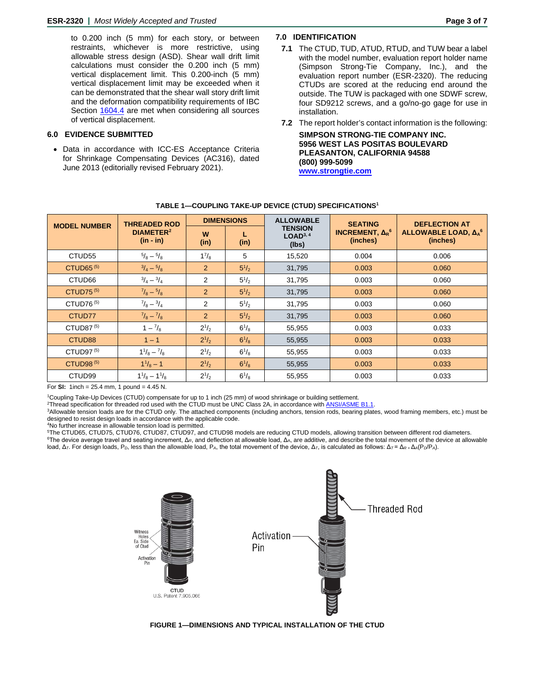<span id="page-2-1"></span>to 0.200 inch (5 mm) for each story, or between restraints, whichever is more restrictive, using allowable stress design (ASD). Shear wall drift limit calculations must consider the 0.200 inch (5 mm) vertical displacement limit. This 0.200-inch (5 mm) vertical displacement limit may be exceeded when it can be demonstrated that the shear wall story drift limit and the deformation compatibility requirements of IBC Section [1604.4](https://codes.iccsafe.org/content/IBC2021P1/chapter-16-structural-design) are met when considering all sources of vertical displacement.

# **6.0 EVIDENCE SUBMITTED**

• Data in accordance with ICC-ES Acceptance Criteria for Shrinkage Compensating Devices (AC316), dated June 2013 (editorially revised February 2021).

# **7.0 IDENTIFICATION**

- **7.1** The CTUD, TUD, ATUD, RTUD, and TUW bear a label with the model number, evaluation report holder name (Simpson Strong-Tie Company, Inc.), and the evaluation report number (ESR-2320). The reducing CTUDs are scored at the reducing end around the outside. The TUW is packaged with one SDWF screw, four SD9212 screws, and a go/no-go gage for use in installation.
- **7.2** The report holder's contact information is the following:

**SIMPSON STRONG-TIE COMPANY INC. 5956 WEST LAS POSITAS BOULEVARD PLEASANTON, CALIFORNIA 94588 [\(800\) 999-5099](http://www.strongtie.com/) www.strongtie.com**

| <b>MODEL NUMBER</b>   | <b>THREADED ROD</b>                        | <b>DIMENSIONS</b> |              | <b>ALLOWABLE</b>                                | <b>SEATING</b>                                                  | <b>DEFLECTION AT</b>                                       |  |
|-----------------------|--------------------------------------------|-------------------|--------------|-------------------------------------------------|-----------------------------------------------------------------|------------------------------------------------------------|--|
|                       | <b>DIAMETER<sup>2</sup></b><br>$(in - in)$ | W<br>(in)         | (in)         | <b>TENSION</b><br>LOAD <sup>3, 4</sup><br>(lbs) | <b>INCREMENT, <math>\Delta_R</math><sup>6</sup></b><br>(inches) | ALLOWABLE LOAD, $\Delta_{\Delta}$ <sup>6</sup><br>(inches) |  |
| CTUD <sub>55</sub>    | $^{5}/_8-^{5}/_8$                          | $1^{7}/_{8}$      | 5            | 15,520                                          | 0.004                                                           | 0.006                                                      |  |
| CTUD65 <sup>(5)</sup> | $^{3}/_{4}-^{5}/_{8}$                      | $\overline{2}$    | $5^{1/2}$    | 31,795                                          | 0.003                                                           | 0.060                                                      |  |
| CTUD <sub>66</sub>    | $^{3}/_{4}-^{3}/_{4}$                      | 2                 | $5^{1/2}$    | 31,795                                          | 0.003                                                           | 0.060                                                      |  |
| CTUD75 $(5)$          | $^{7}/_8-^{5}/_8$                          | $\overline{2}$    | $5^{1/2}$    | 31,795                                          | 0.003                                                           | 0.060                                                      |  |
| CTUD76 <sup>(5)</sup> | $^{7}/_8-^{3}/_4$                          | 2                 | $5^{1/2}$    | 31,795                                          | 0.003                                                           | 0.060                                                      |  |
| CTUD77                | $^{7}/_{8}-^{7}/_{8}$                      | 2                 | $5^{1/2}$    | 31,795                                          | 0.003                                                           | 0.060                                                      |  |
| CTUD87 <sup>(5)</sup> | $1 - \frac{7}{8}$                          | $2^{1/2}$         | $6^{1}/_{8}$ | 55,955                                          | 0.003                                                           | 0.033                                                      |  |
| CTUD <sub>88</sub>    | $1 - 1$                                    | $2^{1/2}$         | $6^{1}/_{8}$ | 55,955                                          | 0.003                                                           | 0.033                                                      |  |
| CTUD97 $(5)$          | $1\frac{1}{8} - \frac{7}{8}$               | $2^{1/2}$         | $6^{1}/_{8}$ | 55,955                                          | 0.003                                                           | 0.033                                                      |  |
| CTUD98 $(5)$          | $1^{1}/_{8} - 1$                           | $2^{1/2}$         | $6^{1}/_{8}$ | 55,955                                          | 0.003                                                           | 0.033                                                      |  |
| CTUD <sub>99</sub>    | $1\frac{1}{8} - 1\frac{1}{8}$              | $2^{1/2}$         | $6^{1}/_{8}$ | 55,955                                          | 0.003                                                           | 0.033                                                      |  |

# <span id="page-2-0"></span>**[TABLE 1—COUPLING TAKE-UP DEVICE \(CTUD\) SPECIFICATIONS1](#page-0-1)**

For **SI:** 1inch = 25.4 mm, 1 pound = 4.45 N.

<sup>1</sup>Coupling Take-Up Devices (CTUD) compensate for up to 1 inch (25 mm) of wood shrinkage or building settlement.<br><sup>2</sup>Thread specification for threaded rod used with the CTUD must be UNC Class 2A, in accordance with ANSI/ASM

<sup>3</sup>Allowable tension loads are for the CTUD only. The attached components (including anchors, tension rods, bearing plates, wood framing members, etc.) must be designed to resist design loads in accordance with the applicable code.

4No further increase in allowable tension load is permitted.

5 The CTUD65, CTUD75, CTUD76, CTUD87, CTUD97, and CTUD98 models are reducing CTUD models, allowing transition between different rod diameters. <sup>6</sup>The device average travel and seating increment, Δ<sub>R</sub>, and deflection at allowable load, Δ<sub>A</sub>, are additive, and describe the total movement of the device at allowable load, Δ*T*. For design loads, P*D*, less than the allowable load, P*A*, the total movement of the device, Δ*T*, is calculated as follows: Δ*T* = Δ*R +* Δ*A*(P*D*/P*A*).



**[FIGURE 1—DIMENSIONS AND TYPICAL INSTALLATION OF THE CTUD](#page-0-2)**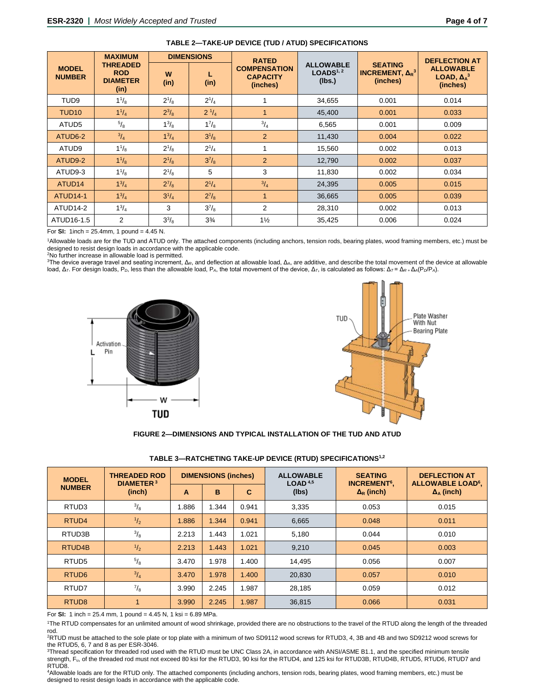<span id="page-3-2"></span>

|                               | <b>MAXIMUM</b>                                           | <b>DIMENSIONS</b> |                      | <b>RATED</b>                                       |                                                     |                                                                         | <b>DEFLECTION AT</b>                               |  |
|-------------------------------|----------------------------------------------------------|-------------------|----------------------|----------------------------------------------------|-----------------------------------------------------|-------------------------------------------------------------------------|----------------------------------------------------|--|
| <b>MODEL</b><br><b>NUMBER</b> | <b>THREADED</b><br><b>ROD</b><br><b>DIAMETER</b><br>(in) | W<br>(in)         | L<br>(in)            | <b>COMPENSATION</b><br><b>CAPACITY</b><br>(inches) | <b>ALLOWABLE</b><br>LOADS <sup>1, 2</sup><br>(Ibs.) | <b>SEATING</b><br><b>INCREMENT, <math>\Delta_R^3</math></b><br>(inches) | <b>ALLOWABLE</b><br>LOAD, $\Delta_A^3$<br>(inches) |  |
| TUD <sub>9</sub>              | $1^{1/8}$                                                | $2^{1/8}$         | $2^{1/4}$            |                                                    | 34,655                                              | 0.001                                                                   | 0.014                                              |  |
| TUD <sub>10</sub>             | $1^{1}/_{4}$                                             | $2^{3}/_{8}$      | $2^{1/4}$            | 1                                                  | 45,400                                              | 0.001                                                                   | 0.033                                              |  |
| ATUD <sub>5</sub>             | $^{5}/_{8}$                                              | $1^{3}/_{8}$      | $1^{7}/_{8}$         | $^{3}/_{4}$                                        | 6,565                                               | 0.001                                                                   | 0.009                                              |  |
| ATUD6-2                       | $\frac{3}{4}$                                            | $1^{3}/_{4}$      | $3^{1}/_{8}$         | 2                                                  | 11,430                                              | 0.004                                                                   | 0.022                                              |  |
| ATUD <sub>9</sub>             | $1^{1/3}$                                                | $2^{1/8}$         | $2^{1/4}$            | 1                                                  | 15,560                                              | 0.002                                                                   | 0.013                                              |  |
| ATUD9-2                       | $1^{1}/_{8}$                                             | $2^{1/8}$         | $3^{7}/_{8}$         | 2                                                  | 12,790                                              | 0.002                                                                   | 0.037                                              |  |
| ATUD9-3                       | $1^{1}/_{8}$                                             | $2^{1}/8$         | 5                    | 3                                                  | 11,830                                              | 0.002                                                                   | 0.034                                              |  |
| ATUD <sub>14</sub>            | $1^{3}/_{4}$                                             | $2^{7}/_{8}$      | $2^{1}/_{4}$         | $^{3}/_{4}$                                        | 24,395                                              | 0.005                                                                   | 0.015                                              |  |
| ATUD <sub>14-1</sub>          | $1^{3}/_{4}$                                             | $3^{1}/_{4}$      | $2^{7}/_{8}$         | 1                                                  | 36,665                                              | 0.005                                                                   | 0.039                                              |  |
| ATUD <sub>14-2</sub>          | $1^{3}/_{4}$                                             | 3                 | $3^7$ / <sub>8</sub> | 2                                                  | 28,310                                              | 0.002                                                                   | 0.013                                              |  |
| ATUD16-1.5                    | 2                                                        | $3^{3}/_{8}$      | $3\frac{3}{4}$       | $1\frac{1}{2}$                                     | 35,425                                              | 0.006                                                                   | 0.024                                              |  |

# <span id="page-3-0"></span>**[TABLE 2—TAKE-UP DEVICE \(TUD / ATUD\) SPECIFICATIONS](#page-0-3)**

For **SI:** 1inch = 25.4mm, 1 pound = 4.45 N.

1Allowable loads are for the TUD and ATUD only. The attached components (including anchors, tension rods, bearing plates, wood framing members, etc.) must be designed to resist design loads in accordance with the applicable code.

2 No further increase in allowable load is permitted.

<sup>3</sup>The device average travel and seating increment, Δ<sub>R</sub>, and deflection at allowable load, Δ<sub>A</sub>, are additive, and describe the total movement of the device at allowable load, Δ*T*. For design loads, P*D*, less than the allowable load, P*A*, the total movement of the device, Δ*T*, is calculated as follows: Δ*T* = Δ*R +* Δ*A*(P*D*/P*A*).





# **[FIGURE 2—DIMENSIONS AND](#page-0-2) TYPICAL INSTALLATION OF THE TUD AND ATUD**

<span id="page-3-1"></span>

| TABLE 3—RATCHETING TAKE-UP DEVICE (RTUD) SPECIFICATIONS <sup>1,2</sup> |  |  |  |
|------------------------------------------------------------------------|--|--|--|
|                                                                        |  |  |  |

**[TABLE 3—RATCHETING TAKE-UP DEVICE \(RTUD\) SPECIFICATIONS1](#page-0-4),2**

| <b>MODEL</b>        | <b>THREADED ROD</b><br><b>DIAMETER<sup>3</sup></b><br>(inch) | <b>DIMENSIONS (inches)</b> |       |       | <b>ALLOWABLE</b><br>LOAD <sup>4,5</sup> | <b>SEATING</b><br><b>INCREMENT<sup>6</sup>,</b> | <b>DEFLECTION AT</b><br><b>ALLOWABLE LOAD<sup>6</sup>,</b> |
|---------------------|--------------------------------------------------------------|----------------------------|-------|-------|-----------------------------------------|-------------------------------------------------|------------------------------------------------------------|
| <b>NUMBER</b>       |                                                              | A                          | в     | C     | (lbs)                                   | $\Delta_{\rm R}$ (inch)                         | $\Delta_{A}$ (inch)                                        |
| RTUD <sub>3</sub>   | $^{3}/_{8}$                                                  | .886                       | 1.344 | 0.941 | 3,335                                   | 0.053                                           | 0.015                                                      |
| RTUD <sub>4</sub>   | $\frac{1}{2}$                                                | 1.886                      | 1.344 | 0.941 | 6,665                                   | 0.048                                           | 0.011                                                      |
| RTUD3B              | $^{3}/_{8}$                                                  | 2.213                      | 1.443 | 1.021 | 5,180                                   | 0.044                                           | 0.010                                                      |
| RTUD <sub>4</sub> B | $\frac{1}{2}$                                                | 2.213                      | 1.443 | 1.021 | 9.210                                   | 0.045                                           | 0.003                                                      |
| RTUD <sub>5</sub>   | $^{5}/_8$                                                    | 3.470                      | 1.978 | 1.400 | 14.495                                  | 0.056                                           | 0.007                                                      |
| RTUD <sub>6</sub>   | $^{3}/_{4}$                                                  | 3.470                      | 1.978 | 1.400 | 20.830                                  | 0.057                                           | 0.010                                                      |
| RTUD7               | $^{7}/_8$                                                    | 3.990                      | 2.245 | 1.987 | 28,185                                  | 0.059                                           | 0.012                                                      |
| RTUD <sub>8</sub>   |                                                              | 3.990                      | 2.245 | 1.987 | 36,815                                  | 0.066                                           | 0.031                                                      |

For **SI:** 1 inch = 25.4 mm, 1 pound = 4.45 N, 1 ksi = 6.89 MPa.

1The RTUD compensates for an unlimited amount of wood shrinkage, provided there are no obstructions to the travel of the RTUD along the length of the threaded rod.

2RTUD must be attached to the sole plate or top plate with a minimum of two SD9112 wood screws for RTUD3, 4, 3B and 4B and two SD9212 wood screws for the RTUD5, 6, 7 and 8 as per ESR-3046.

3Thread specification for threaded rod used with the RTUD must be UNC Class 2A, in accordance with ANSI/ASME B1.1, and the specified minimum tensile strength, Fu, of the threaded rod must not exceed 80 ksi for the RTUD3, 90 ksi for the RTUD4, and 125 ksi for RTUD3B, RTUD4B, RTUD5, RTUD6, RTUD7 and RTUD8.

4Allowable loads are for the RTUD only. The attached components (including anchors, tension rods, bearing plates, wood framing members, etc.) must be designed to resist design loads in accordance with the applicable code.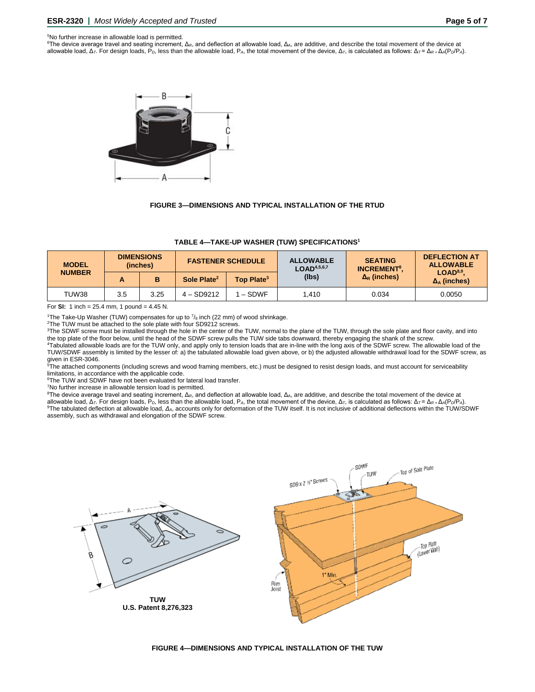### <span id="page-4-2"></span>5 No further increase in allowable load is permitted.

<span id="page-4-1"></span><sup>6</sup>The device average travel and seating increment, Δ<sub>R</sub>, and deflection at allowable load, Δ<sub>A</sub>, are additive, and describe the total movement of the device at allowable load, Δ*T*. For design loads, P*D*, less than the allowable load, P*A*, the total movement of the device, Δ*T*, is calculated as follows: Δ*T* = Δ*R +* Δ*A*(P*D*/P*A*).



## **[FIGURE 3—DIMENSIONS AND TYPICAL INSTALLATION OF THE RTUD](#page-0-2)**

| <b>MODEL</b><br><b>NUMBER</b> | <b>DIMENSIONS</b><br>(inches) |      | <b>FASTENER SCHEDULE</b> |                        | <b>ALLOWABLE</b><br>LOAD <sup>4,5,6,7</sup> | <b>SEATING</b><br><b>INCREMENT<sup>8</sup>.</b> | <b>DEFLECTION AT</b><br><b>ALLOWABLE</b>         |
|-------------------------------|-------------------------------|------|--------------------------|------------------------|---------------------------------------------|-------------------------------------------------|--------------------------------------------------|
|                               | A                             | в    | Sole Plate <sup>2</sup>  | Top Plate <sup>3</sup> | (lbs)                                       | $\Delta_R$ (inches)                             | LOAD <sup>8,9</sup><br>$\Delta_{\rm A}$ (inches) |
| TUW38                         | 3.5                           | 3.25 | $4 - SD9212$             | I – SDWF               | 1.410                                       | 0.034                                           | 0.0050                                           |

<span id="page-4-0"></span>**[TABLE 4—TAKE-UP WASHER \(TUW\) SPECIFICATIONS1](#page-0-2)**

### For **SI:** 1 inch = 25.4 mm, 1 pound = 4.45 N.

<sup>1</sup>The Take-Up Washer (TUW) compensates for up to  $\frac{7}{8}$  inch (22 mm) of wood shrinkage.

2 The TUW must be attached to the sole plate with four SD9212 screws.

<sup>3</sup>The SDWF screw must be installed through the hole in the center of the TUW, normal to the plane of the TUW, through the sole plate and floor cavity, and into the top plate of the floor below, until the head of the SDWF screw pulls the TUW side tabs downward, thereby engaging the shank of the screw. 4Tabulated allowable loads are for the TUW only, and apply only to tension loads that are in-line with the long axis of the SDWF screw. The allowable load of the

TUW/SDWF assembly is limited by the lesser of: a) the tabulated allowable load given above, or b) the adjusted allowable withdrawal load for the SDWF screw, as given in ESR-3046.

5 The attached components (including screws and wood framing members, etc.) must be designed to resist design loads, and must account for serviceability limitations, in accordance with the applicable code.

<sup>6</sup>The TUW and SDWF have not been evaluated for lateral load transfer.

<sup>7</sup>No further increase in allowable tension load is permitted.

<sup>8</sup>The device average travel and seating increment, Δ<sub>R</sub>, and deflection at allowable load, Δ<sub>A</sub>, are additive, and describe the total movement of the device at allowable load,  $\Delta_T$ . For design loads,  $P_D$ , less than the allowable load,  $P_A$ , the total movement of the device,  $\Delta_T$ , is calculated as follows:  $\Delta_T = \Delta_R + \Delta_A (P_D/P_A)$ . 9The tabulated deflection at allowable load, *ΔA*, accounts only for deformation of the TUW itself. It is not inclusive of additional deflections within the TUW/SDWF assembly, such as withdrawal and elongation of the SDWF screw.



**[FIGURE 4—DIMENSIONS AND TYPICAL INSTALLATION OF THE TUW](#page-0-2)**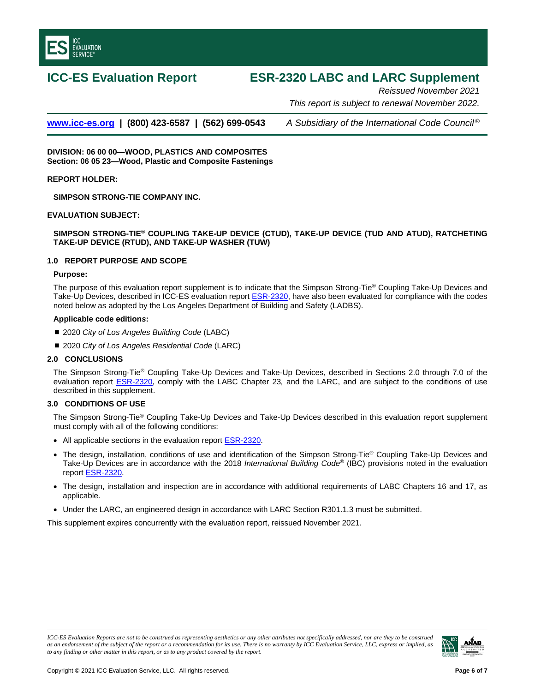<span id="page-5-0"></span>

# **ICC-ES Evaluation Report ESR-2320 LABC and LARC Supplement**

*Reissued November 2021 This report is subject to renewal November 2022.*

**[www.icc-es.org](http://www.icc-es.org/) | (800) 423-6587 | (562) 699-0543** *A Subsidiary of the International Code Council ®*

**DIVISION: 06 00 00—WOOD, PLASTICS AND COMPOSITES Section: 06 05 23—Wood, Plastic and Composite Fastenings**

**REPORT HOLDER:**

**SIMPSON STRONG-TIE COMPANY INC.**

# **EVALUATION SUBJECT:**

# **SIMPSON STRONG-TIE® COUPLING TAKE-UP DEVICE (CTUD), TAKE-UP DEVICE (TUD AND ATUD), RATCHETING TAKE-UP DEVICE (RTUD), AND TAKE-UP WASHER (TUW)**

# **1.0 REPORT PURPOSE AND SCOPE**

# **Purpose:**

The purpose of this evaluation report supplement is to indicate that the Simpson Strong-Tie® Coupling Take-Up Devices and Take-Up Devices, described in ICC-ES evaluation report **ESR-2320**, have also been evaluated for compliance with the codes noted below as adopted by the Los Angeles Department of Building and Safety (LADBS).

# **Applicable code edition***s***:**

- 2020 *City of Los Angeles Building Code* (LABC)
- 2020 *City of Los Angeles Residential Code* (LARC)

# **2.0 CONCLUSIONS**

The Simpson Strong-Tie® Coupling Take-Up Devices and Take-Up Devices, described in Sections 2.0 through 7.0 of the evaluation report [ESR-2320,](#page-0-5) comply with the LABC Chapter 23*,* and the LARC, and are subject to the conditions of use described in this supplement.

# **3.0 CONDITIONS OF USE**

The Simpson Strong-Tie® Coupling Take-Up Devices and Take-Up Devices described in this evaluation report supplement must comply with all of the following conditions:

- All applicable sections in the evaluation report [ESR-2320.](#page-0-5)
- The design, installation, conditions of use and identification of the Simpson Strong-Tie® Coupling Take-Up Devices and Take-Up Devices are in accordance with the 2018 *International Building Code*® (IBC) provisions noted in the evaluation report [ESR-2320.](#page-0-5)
- The design, installation and inspection are in accordance with additional requirements of LABC Chapters 16 and 17, as applicable.
- Under the LARC, an engineered design in accordance with LARC Section R301.1.3 must be submitted.

This supplement expires concurrently with the evaluation report, reissued November 2021.